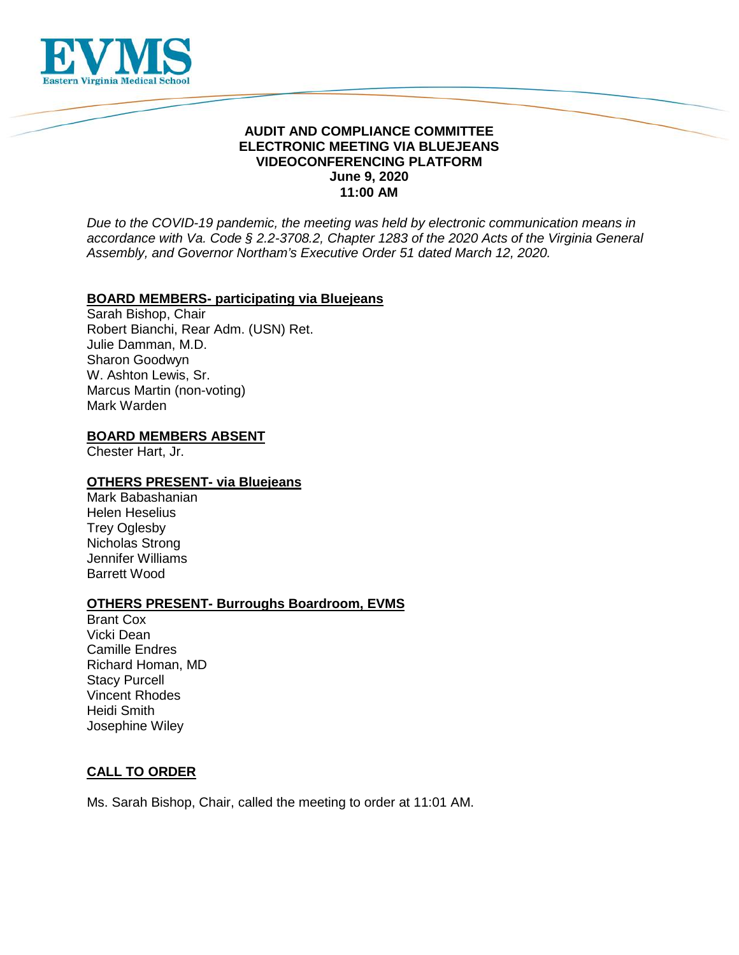

## **AUDIT AND COMPLIANCE COMMITTEE ELECTRONIC MEETING VIA BLUEJEANS VIDEOCONFERENCING PLATFORM June 9, 2020 11:00 AM**

*Due to the COVID-19 pandemic, the meeting was held by electronic communication means in accordance with Va. Code § 2.2-3708.2, Chapter 1283 of the 2020 Acts of the Virginia General Assembly, and Governor Northam's Executive Order 51 dated March 12, 2020.*

### **BOARD MEMBERS- participating via Bluejeans**

Sarah Bishop, Chair Robert Bianchi, Rear Adm. (USN) Ret. Julie Damman, M.D. Sharon Goodwyn W. Ashton Lewis, Sr. Marcus Martin (non-voting) Mark Warden

#### **BOARD MEMBERS ABSENT**

Chester Hart, Jr.

### **OTHERS PRESENT- via Bluejeans**

Mark Babashanian Helen Heselius Trey Oglesby Nicholas Strong Jennifer Williams Barrett Wood

### **OTHERS PRESENT- Burroughs Boardroom, EVMS**

Brant Cox Vicki Dean Camille Endres Richard Homan, MD Stacy Purcell Vincent Rhodes Heidi Smith Josephine Wiley

### **CALL TO ORDER**

Ms. Sarah Bishop, Chair, called the meeting to order at 11:01 AM.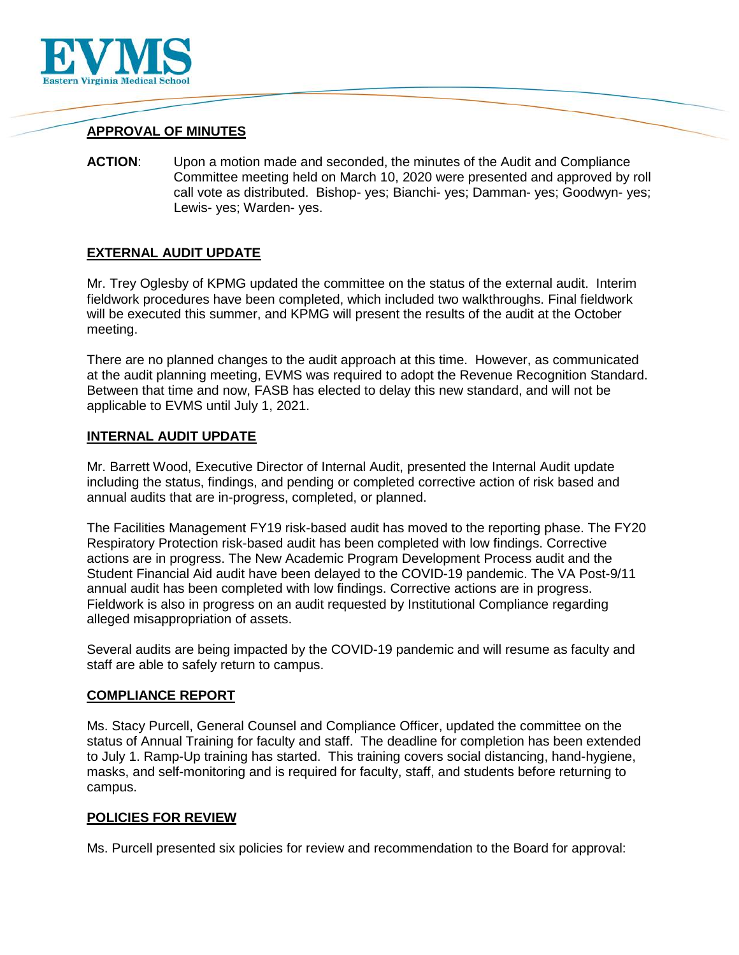

# **APPROVAL OF MINUTES**

**ACTION**: Upon a motion made and seconded, the minutes of the Audit and Compliance Committee meeting held on March 10, 2020 were presented and approved by roll call vote as distributed. Bishop- yes; Bianchi- yes; Damman- yes; Goodwyn- yes; Lewis- yes; Warden- yes.

## **EXTERNAL AUDIT UPDATE**

Mr. Trey Oglesby of KPMG updated the committee on the status of the external audit. Interim fieldwork procedures have been completed, which included two walkthroughs. Final fieldwork will be executed this summer, and KPMG will present the results of the audit at the October meeting.

There are no planned changes to the audit approach at this time. However, as communicated at the audit planning meeting, EVMS was required to adopt the Revenue Recognition Standard. Between that time and now, FASB has elected to delay this new standard, and will not be applicable to EVMS until July 1, 2021.

### **INTERNAL AUDIT UPDATE**

Mr. Barrett Wood, Executive Director of Internal Audit, presented the Internal Audit update including the status, findings, and pending or completed corrective action of risk based and annual audits that are in-progress, completed, or planned.

The Facilities Management FY19 risk-based audit has moved to the reporting phase. The FY20 Respiratory Protection risk-based audit has been completed with low findings. Corrective actions are in progress. The New Academic Program Development Process audit and the Student Financial Aid audit have been delayed to the COVID-19 pandemic. The VA Post-9/11 annual audit has been completed with low findings. Corrective actions are in progress. Fieldwork is also in progress on an audit requested by Institutional Compliance regarding alleged misappropriation of assets.

Several audits are being impacted by the COVID-19 pandemic and will resume as faculty and staff are able to safely return to campus.

### **COMPLIANCE REPORT**

Ms. Stacy Purcell, General Counsel and Compliance Officer, updated the committee on the status of Annual Training for faculty and staff. The deadline for completion has been extended to July 1. Ramp-Up training has started. This training covers social distancing, hand-hygiene, masks, and self-monitoring and is required for faculty, staff, and students before returning to campus.

### **POLICIES FOR REVIEW**

Ms. Purcell presented six policies for review and recommendation to the Board for approval: